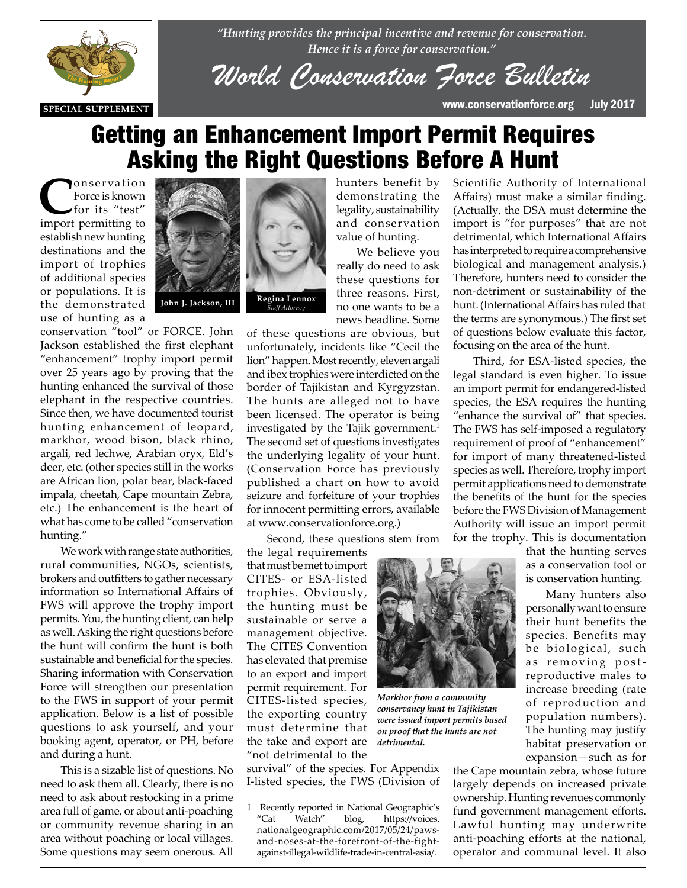

*"Hunting provides the principal incentive and revenue for conservation. Hence it is a force for conservation."*

*World Conservation Force Bulletin*

**SPECIAL SUPPLEMENT** www.conservationforce.org July 2017

# Getting an Enhancement Import Permit Requires Asking the Right Questions Before A Hunt

**C**onservation<br>Force is known<br>for its "test" Force is known for its "test" import permitting to establish new hunting destinations and the import of trophies of additional species or populations. It is the demonstrated use of hunting as a



conservation "tool" or FORCE. John Jackson established the first elephant "enhancement" trophy import permit over 25 years ago by proving that the hunting enhanced the survival of those elephant in the respective countries. elephant in the respective countries. Since then, we have documented tourist hunting enhancement of leopard, markhor, wood bison, black rhino, argali, red lechwe, Arabian oryx, Eld's deer, etc. (other species still in the works are African lion, polar bear, black-faced impala, cheetah, Cape mountain Zebra, etc.) The enhancement is the heart of what has come to be called "conservation hunting."

> We work with range state authorities, rural communities, NGOs, scientists, brokers and outfitters to gather necessary information so International Affairs of FWS will approve the trophy import permits. You, the hunting client, can help as well. Asking the right questions before the hunt will confirm the hunt is both sustainable and beneficial for the species. Sharing information with Conservation Force will strengthen our presentation to the FWS in support of your permit application. Below is a list of possible questions to ask yourself, and your booking agent, operator, or PH, before and during a hunt.

> This is a sizable list of questions. No need to ask them all. Clearly, there is no need to ask about restocking in a prime area full of game, or about anti-poaching or community revenue sharing in an area without poaching or local villages. Some questions may seem onerous. All



hunters benefit by demonstrating the legality, sustainability and conservation value of hunting.

We believe you really do need to ask these questions for three reasons. First, no one wants to be a news headline. Some

of these questions are obvious, but unfortunately, incidents like "Cecil the lion" happen. Most recently, eleven argali and ibex trophies were interdicted on the border of Tajikistan and Kyrgyzstan. The hunts are alleged not to have been licensed. The operator is being investigated by the Tajik government.<sup>1</sup> The second set of questions investigates the underlying legality of your hunt. (Conservation Force has previously published a chart on how to avoid seizure and forfeiture of your trophies for innocent permitting errors, available at www.conservationforce.org.)

Second, these questions stem from

the legal requirements that must be met to import CITES- or ESA-listed trophies. Obviously, the hunting must be sustainable or serve a management objective. The CITES Convention has elevated that premise to an export and import permit requirement. For CITES-listed species, the exporting country must determine that the take and export are "not detrimental to the

survival" of the species. For Appendix I-listed species, the FWS (Division of

1 Recently reported in National Geographic's "Cat Watch" blog, https://voices. nationalgeographic.com/2017/05/24/pawsand-noses-at-the-forefront-of-the-fightagainst-illegal-wildlife-trade-in-central-asia/.

Scientific Authority of International Affairs) must make a similar finding. (Actually, the DSA must determine the import is "for purposes" that are not detrimental, which International Affairs has interpreted to require a comprehensive biological and management analysis.) Therefore, hunters need to consider the non-detriment or sustainability of the hunt. (International Affairs has ruled that the terms are synonymous.) The first set of questions below evaluate this factor, focusing on the area of the hunt.

Third, for ESA-listed species, the legal standard is even higher. To issue an import permit for endangered-listed species, the ESA requires the hunting "enhance the survival of" that species. The FWS has self-imposed a regulatory requirement of proof of "enhancement" for import of many threatened-listed species as well. Therefore, trophy import permit applications need to demonstrate the benefits of the hunt for the species before the FWS Division of Management Authority will issue an import permit for the trophy. This is documentation

that the hunting serves as a conservation tool or is conservation hunting.

Many hunters also personally want to ensure their hunt benefits the species. Benefits may be biological, such as removing postreproductive males to increase breeding (rate of reproduction and population numbers). The hunting may justify habitat preservation or expansion—such as for

the Cape mountain zebra, whose future largely depends on increased private ownership. Hunting revenues commonly fund government management efforts. Lawful hunting may underwrite anti-poaching efforts at the national, operator and communal level. It also



*Markhor from a community conservancy hunt in Tajikistan were issued import permits based on proof that the hunts are not detrimental.*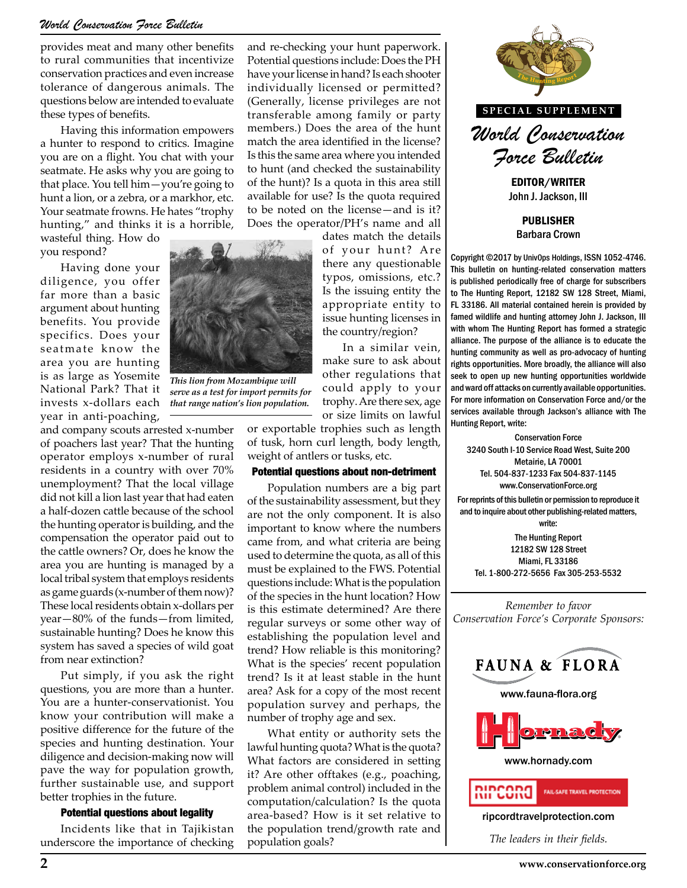## *World Conservation Force Bulletin*

provides meat and many other benefits to rural communities that incentivize conservation practices and even increase tolerance of dangerous animals. The questions below are intended to evaluate these types of benefits.

Having this information empowers a hunter to respond to critics. Imagine you are on a flight. You chat with your seatmate. He asks why you are going to that place. You tell him—you're going to hunt a lion, or a zebra, or a markhor, etc. Your seatmate frowns. He hates "trophy hunting," and thinks it is a horrible,

wasteful thing. How do you respond?

Having done your diligence, you offer far more than a basic argument about hunting benefits. You provide specifics. Does your seatmate know the area you are hunting is as large as Yosemite National Park? That it invests x-dollars each year in anti-poaching,

and company scouts arrested x-number of poachers last year? That the hunting operator employs x-number of rural residents in a country with over 70% unemployment? That the local village did not kill a lion last year that had eaten a half-dozen cattle because of the school the hunting operator is building, and the compensation the operator paid out to the cattle owners? Or, does he know the area you are hunting is managed by a local tribal system that employs residents as game guards (x-number of them now)? These local residents obtain x-dollars per year—80% of the funds—from limited, sustainable hunting? Does he know this system has saved a species of wild goat from near extinction?

Put simply, if you ask the right questions, you are more than a hunter. You are a hunter-conservationist. You know your contribution will make a positive difference for the future of the species and hunting destination. Your diligence and decision-making now will pave the way for population growth, further sustainable use, and support better trophies in the future.

#### Potential questions about legality

Incidents like that in Tajikistan underscore the importance of checking and re-checking your hunt paperwork. Potential questions include: Does the PH have your license in hand? Is each shooter individually licensed or permitted? (Generally, license privileges are not transferable among family or party members.) Does the area of the hunt match the area identified in the license? Is this the same area where you intended to hunt (and checked the sustainability of the hunt)? Is a quota in this area still available for use? Is the quota required to be noted on the license—and is it? Does the operator/PH's name and all

dates match the details of your hunt? Are there any questionable typos, omissions, etc.? Is the issuing entity the appropriate entity to issue hunting licenses in the country/region?

In a similar vein, make sure to ask about other regulations that could apply to your trophy. Are there sex, age or size limits on lawful

or exportable trophies such as length of tusk, horn curl length, body length, weight of antlers or tusks, etc.

#### Potential questions about non-detriment

Population numbers are a big part of the sustainability assessment, but they are not the only component. It is also important to know where the numbers came from, and what criteria are being used to determine the quota, as all of this must be explained to the FWS. Potential questions include: What is the population of the species in the hunt location? How is this estimate determined? Are there regular surveys or some other way of establishing the population level and trend? How reliable is this monitoring? What is the species' recent population trend? Is it at least stable in the hunt area? Ask for a copy of the most recent population survey and perhaps, the number of trophy age and sex.

What entity or authority sets the lawful hunting quota? What is the quota? What factors are considered in setting it? Are other offtakes (e.g., poaching, problem animal control) included in the computation/calculation? Is the quota area-based? How is it set relative to the population trend/growth rate and population goals?



**SPECIAL SUPPLEMENT**

*World Conservation Force Bulletin*

EDITOR/WRITER John J. Jackson, III

PUBLISHER Barbara Crown

Copyright ©2017 by UnivOps Holdings, ISSN 1052-4746. This bulletin on hunting-related conservation matters is published periodically free of charge for subscribers to The Hunting Report, 12182 SW 128 Street, Miami, FL 33186. All material contained herein is provided by famed wildlife and hunting attorney John J. Jackson, III with whom The Hunting Report has formed a strategic alliance. The purpose of the alliance is to educate the hunting community as well as pro-advocacy of hunting to ask about<br> **The Hunting communities.** More broadly, the alliance will also<br> **THE THE HUNTING REPORTANG REPORT**<br> **THE HUNTING REPORTANG REPORTANG REPORT**<br> **THE REPORTANG REPORTANG REPORT**<br> **THE REPORTANG REPORTANG REPORT** seek to open up new hunting opportunities worldwide and ward off attacks on currently available opportunities. For more information on Conservation Force and/or the nits on lawful services available through Jackson's alliance with The ush as longth Hunting Report, write: Hunting Report, write:

> Conservation Force 3240 South I-10 Service Road West, Suite 200 Metairie, LA 70001 Tel. 504-837-1233 Fax 504-837-1145 www.ConservationForce.org

For reprints of this bulletin or permission to reproduce it and to inquire about other publishing-related matters, write:

The Hunting Report 12182 SW 128 Street Miami, FL 33186 Tel. 1-800-272-5656 Fax 305-253-5532

*Remember to favor Conservation Force's Corporate Sponsors:*







www.hornady.com



ripcordtravelprotection.com

*The leaders in their fields.*



*serve as a test for import permits for that range nation's lion population.*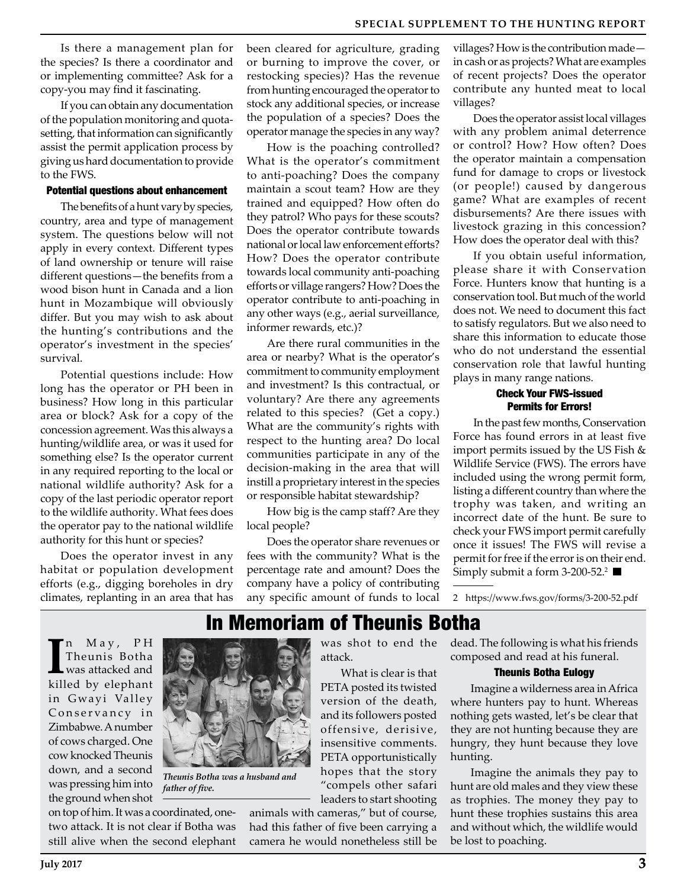Is there a management plan for the species? Is there a coordinator and or implementing committee? Ask for a copy-you may find it fascinating.

If you can obtain any documentation of the population monitoring and quotasetting, that information can significantly assist the permit application process by giving us hard documentation to provide to the FWS.

#### Potential questions about enhancement

The benefits of a hunt vary by species, country, area and type of management system. The questions below will not apply in every context. Different types of land ownership or tenure will raise different questions—the benefits from a wood bison hunt in Canada and a lion hunt in Mozambique will obviously differ. But you may wish to ask about the hunting's contributions and the operator's investment in the species' survival.

Potential questions include: How long has the operator or PH been in business? How long in this particular area or block? Ask for a copy of the concession agreement. Was this always a hunting/wildlife area, or was it used for something else? Is the operator current in any required reporting to the local or national wildlife authority? Ask for a copy of the last periodic operator report to the wildlife authority. What fees does the operator pay to the national wildlife authority for this hunt or species?

Does the operator invest in any habitat or population development efforts (e.g., digging boreholes in dry climates, replanting in an area that has been cleared for agriculture, grading or burning to improve the cover, or restocking species)? Has the revenue from hunting encouraged the operator to stock any additional species, or increase the population of a species? Does the operator manage the species in any way?

How is the poaching controlled? What is the operator's commitment to anti-poaching? Does the company maintain a scout team? How are they trained and equipped? How often do they patrol? Who pays for these scouts? Does the operator contribute towards national or local law enforcement efforts? How? Does the operator contribute towards local community anti-poaching efforts or village rangers? How? Does the operator contribute to anti-poaching in any other ways (e.g., aerial surveillance, informer rewards, etc.)?

Are there rural communities in the area or nearby? What is the operator's commitment to community employment and investment? Is this contractual, or voluntary? Are there any agreements related to this species? (Get a copy.) What are the community's rights with respect to the hunting area? Do local communities participate in any of the decision-making in the area that will instill a proprietary interest in the species or responsible habitat stewardship?

How big is the camp staff? Are they local people?

Does the operator share revenues or fees with the community? What is the percentage rate and amount? Does the company have a policy of contributing any specific amount of funds to local villages? How is the contribution made in cash or as projects? What are examples of recent projects? Does the operator contribute any hunted meat to local villages?

Does the operator assist local villages with any problem animal deterrence or control? How? How often? Does the operator maintain a compensation fund for damage to crops or livestock (or people!) caused by dangerous game? What are examples of recent disbursements? Are there issues with livestock grazing in this concession? How does the operator deal with this?

If you obtain useful information, please share it with Conservation Force. Hunters know that hunting is a conservation tool. But much of the world does not. We need to document this fact to satisfy regulators. But we also need to share this information to educate those who do not understand the essential conservation role that lawful hunting plays in many range nations.

### Check Your FWS-issued Permits for Errors!

In the past few months, Conservation Force has found errors in at least five import permits issued by the US Fish & Wildlife Service (FWS). The errors have included using the wrong permit form, listing a different country than where the trophy was taken, and writing an incorrect date of the hunt. Be sure to check your FWS import permit carefully once it issues! The FWS will revise a permit for free if the error is on their end. Simply submit a form 3-200-52.<sup>2</sup>

2 https://www.fws.gov/forms/3-200-52.pdf

In May, PH<br>
Theunis Botha<br>
was attacked and<br>
killed by elephant n M a y , P H Theunis Botha was attacked and in Gwayi Valley Conservancy in Zimbabwe. A number of cows charged. One cow knocked Theunis down, and a second was pressing him into



*Theunis Botha was a husband and* 

In Memoriam of Theunis Botha

was shot to end the attack.

What is clear is that PETA posted its twisted version of the death, and its followers posted offensive, derisive, insensitive comments. PETA opportunistically hopes that the story "compels other safari leaders to start shooting

animals with cameras," but of course, had this father of five been carrying a camera he would nonetheless still be dead. The following is what his friends composed and read at his funeral.

#### Theunis Botha Eulogy

Imagine a wilderness area in Africa where hunters pay to hunt. Whereas nothing gets wasted, let's be clear that they are not hunting because they are hungry, they hunt because they love hunting.

Imagine the animals they pay to hunt are old males and they view these as trophies. The money they pay to hunt these trophies sustains this area and without which, the wildlife would be lost to poaching.